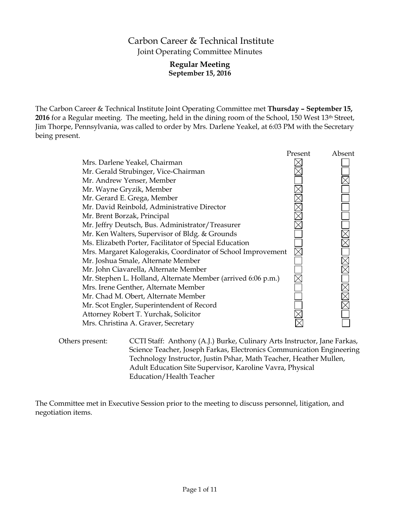# Carbon Career & Technical Institute Joint Operating Committee Minutes

## **Regular Meeting September 15, 2016**

The Carbon Career & Technical Institute Joint Operating Committee met **Thursday – September 15, 2016** for a Regular meeting. The meeting, held in the dining room of the School, 150 West 13th Street, Jim Thorpe, Pennsylvania, was called to order by Mrs. Darlene Yeakel, at 6:03 PM with the Secretary being present.

|                                                              | Present | Absent |
|--------------------------------------------------------------|---------|--------|
| Mrs. Darlene Yeakel, Chairman                                |         |        |
| Mr. Gerald Strubinger, Vice-Chairman                         |         |        |
| Mr. Andrew Yenser, Member                                    |         |        |
| Mr. Wayne Gryzik, Member                                     |         |        |
| Mr. Gerard E. Grega, Member                                  |         |        |
| Mr. David Reinbold, Administrative Director                  |         |        |
| Mr. Brent Borzak, Principal                                  |         |        |
| Mr. Jeffry Deutsch, Bus. Administrator/Treasurer             |         |        |
| Mr. Ken Walters, Supervisor of Bldg. & Grounds               |         |        |
| Ms. Elizabeth Porter, Facilitator of Special Education       |         |        |
| Mrs. Margaret Kalogerakis, Coordinator of School Improvement |         |        |
| Mr. Joshua Smale, Alternate Member                           |         |        |
| Mr. John Ciavarella, Alternate Member                        |         |        |
| Mr. Stephen L. Holland, Alternate Member (arrived 6:06 p.m.) |         |        |
| Mrs. Irene Genther, Alternate Member                         |         |        |
| Mr. Chad M. Obert, Alternate Member                          |         |        |
| Mr. Scot Engler, Superintendent of Record                    |         |        |
| Attorney Robert T. Yurchak, Solicitor                        |         |        |
| Mrs. Christina A. Graver, Secretary                          |         |        |
|                                                              |         |        |

Others present: CCTI Staff: Anthony (A.J.) Burke, Culinary Arts Instructor, Jane Farkas, Science Teacher, Joseph Farkas, Electronics Communication Engineering Technology Instructor, Justin Pshar, Math Teacher, Heather Mullen, Adult Education Site Supervisor, Karoline Vavra, Physical Education/Health Teacher

The Committee met in Executive Session prior to the meeting to discuss personnel, litigation, and negotiation items.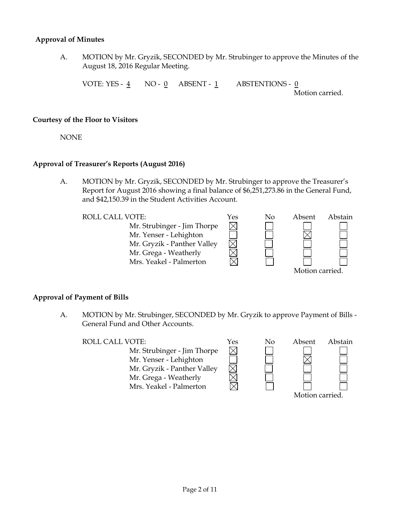#### **Approval of Minutes**

A. MOTION by Mr. Gryzik, SECONDED by Mr. Strubinger to approve the Minutes of the August 18, 2016 Regular Meeting.

VOTE: YES - 4 NO - 0 ABSENT - 1 ABSTENTIONS - 0

Motion carried.

#### **Courtesy of the Floor to Visitors**

NONE

## **Approval of Treasurer's Reports (August 2016)**

A. MOTION by Mr. Gryzik, SECONDED by Mr. Strubinger to approve the Treasurer's Report for August 2016 showing a final balance of \$6,251,273.86 in the General Fund, and \$42,150.39 in the Student Activities Account.

 $\boxtimes$ 

Mr. Strubinger - Jim Thorpe Mr. Yenser - Lehighton Mr. Gryzik - Panther Valley Mr. Grega - Weatherly Mrs. Yeakel - Palmerton



## **Approval of Payment of Bills**

A. MOTION by Mr. Strubinger, SECONDED by Mr. Gryzik to approve Payment of Bills - General Fund and Other Accounts.

ROLL CALL VOTE:  $\gamma_{\rm es}$  No

Mr. Strubinger - Jim Thorpe Mr. Yenser - Lehighton Mr. Gryzik - Panther Valley Mr. Grega - Weatherly Mrs. Yeakel - Palmerton



| Absent          | Abstain |
|-----------------|---------|
|                 |         |
|                 |         |
|                 |         |
|                 |         |
|                 |         |
| Motion carried. |         |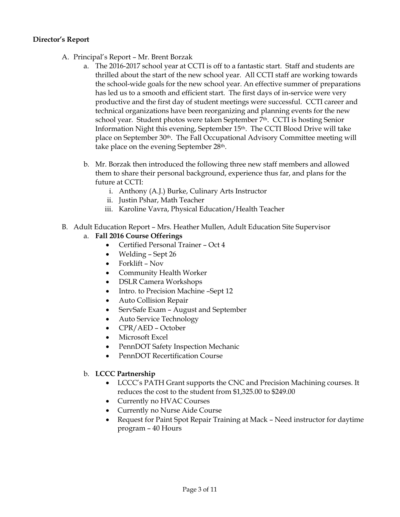## **Director's Report**

- A. Principal's Report Mr. Brent Borzak
	- a. The 2016-2017 school year at CCTI is off to a fantastic start. Staff and students are thrilled about the start of the new school year. All CCTI staff are working towards the school-wide goals for the new school year. An effective summer of preparations has led us to a smooth and efficient start. The first days of in-service were very productive and the first day of student meetings were successful. CCTI career and technical organizations have been reorganizing and planning events for the new school year. Student photos were taken September 7th. CCTI is hosting Senior Information Night this evening, September 15th. The CCTI Blood Drive will take place on September 30<sup>th</sup>. The Fall Occupational Advisory Committee meeting will take place on the evening September 28th.
	- b. Mr. Borzak then introduced the following three new staff members and allowed them to share their personal background, experience thus far, and plans for the future at CCTI:
		- i. Anthony (A.J.) Burke, Culinary Arts Instructor
		- ii. Justin Pshar, Math Teacher
		- iii. Karoline Vavra, Physical Education/Health Teacher
- B. Adult Education Report Mrs. Heather Mullen, Adult Education Site Supervisor

## a. **Fall 2016 Course Offerings**

- Certified Personal Trainer Oct 4
- Welding Sept 26
- Forklift Nov
- Community Health Worker
- DSLR Camera Workshops
- Intro. to Precision Machine -Sept 12
- Auto Collision Repair
- ServSafe Exam August and September
- Auto Service Technology
- CPR/AED October
- Microsoft Excel
- PennDOT Safety Inspection Mechanic
- PennDOT Recertification Course

## b. **LCCC Partnership**

- LCCC's PATH Grant supports the CNC and Precision Machining courses. It reduces the cost to the student from \$1,325.00 to \$249.00
- Currently no HVAC Courses
- Currently no Nurse Aide Course
- Request for Paint Spot Repair Training at Mack Need instructor for daytime program – 40 Hours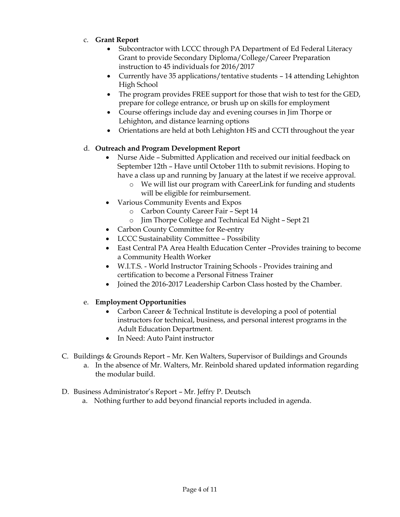- c. **Grant Report**
	- Subcontractor with LCCC through PA Department of Ed Federal Literacy Grant to provide Secondary Diploma/College/Career Preparation instruction to 45 individuals for 2016/2017
	- Currently have 35 applications/tentative students 14 attending Lehighton High School
	- The program provides FREE support for those that wish to test for the GED, prepare for college entrance, or brush up on skills for employment
	- Course offerings include day and evening courses in Jim Thorpe or Lehighton, and distance learning options
	- Orientations are held at both Lehighton HS and CCTI throughout the year

## d. **Outreach and Program Development Report**

- Nurse Aide Submitted Application and received our initial feedback on September 12th – Have until October 11th to submit revisions. Hoping to have a class up and running by January at the latest if we receive approval.
	- o We will list our program with CareerLink for funding and students will be eligible for reimbursement.
- Various Community Events and Expos
	- o Carbon County Career Fair Sept 14
	- o Jim Thorpe College and Technical Ed Night Sept 21
- Carbon County Committee for Re-entry
- LCCC Sustainability Committee Possibility
- East Central PA Area Health Education Center –Provides training to become a Community Health Worker
- W.I.T.S. World Instructor Training Schools Provides training and certification to become a Personal Fitness Trainer
- Joined the 2016-2017 Leadership Carbon Class hosted by the Chamber.

## e. **Employment Opportunities**

- Carbon Career & Technical Institute is developing a pool of potential instructors for technical, business, and personal interest programs in the Adult Education Department.
- In Need: Auto Paint instructor
- C. Buildings & Grounds Report Mr. Ken Walters, Supervisor of Buildings and Grounds
	- a. In the absence of Mr. Walters, Mr. Reinbold shared updated information regarding the modular build.
- D. Business Administrator's Report Mr. Jeffry P. Deutsch
	- a. Nothing further to add beyond financial reports included in agenda.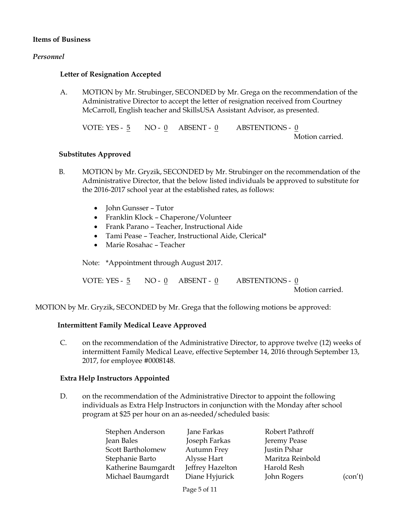#### **Items of Business**

#### *Personnel*

#### **Letter of Resignation Accepted**

A. MOTION by Mr. Strubinger, SECONDED by Mr. Grega on the recommendation of the Administrative Director to accept the letter of resignation received from Courtney McCarroll, English teacher and SkillsUSA Assistant Advisor, as presented.

VOTE: YES - 5 NO - 0 ABSENT - 0 ABSTENTIONS - 0 Motion carried.

#### **Substitutes Approved**

- B. MOTION by Mr. Gryzik, SECONDED by Mr. Strubinger on the recommendation of the Administrative Director, that the below listed individuals be approved to substitute for the 2016-2017 school year at the established rates, as follows:
	- John Gunsser Tutor
	- Franklin Klock Chaperone/Volunteer
	- Frank Parano Teacher, Instructional Aide
	- Tami Pease Teacher, Instructional Aide, Clerical\*
	- Marie Rosahac Teacher

Note: \*Appointment through August 2017.

| VOTE: YES - 5 $NO$ - 0 $\quad$ ABSENT - 0 |  | ABSTENTIONS - 0 |
|-------------------------------------------|--|-----------------|
|                                           |  | Motion carried. |

MOTION by Mr. Gryzik, SECONDED by Mr. Grega that the following motions be approved:

#### **Intermittent Family Medical Leave Approved**

C. on the recommendation of the Administrative Director, to approve twelve (12) weeks of intermittent Family Medical Leave, effective September 14, 2016 through September 13, 2017, for employee #0008148.

#### **Extra Help Instructors Appointed**

D. on the recommendation of the Administrative Director to appoint the following individuals as Extra Help Instructors in conjunction with the Monday after school program at \$25 per hour on an as-needed/scheduled basis:

| Stephen Anderson    | Jane Farkas      | Robert Pathroff  |         |
|---------------------|------------------|------------------|---------|
| Jean Bales          | Joseph Farkas    | Jeremy Pease     |         |
| Scott Bartholomew   | Autumn Frey      | Justin Pshar     |         |
| Stephanie Barto     | Alysse Hart      | Maritza Reinbold |         |
| Katherine Baumgardt | Jeffrey Hazelton | Harold Resh      |         |
| Michael Baumgardt   | Diane Hyjurick   | John Rogers      | (con't) |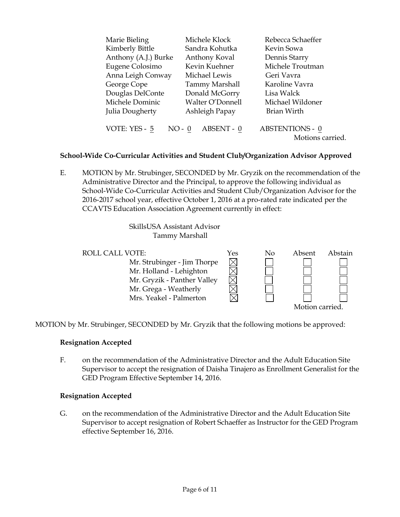| Marie Bieling             | Michele Klock         | Rebecca Schaeffer                          |
|---------------------------|-----------------------|--------------------------------------------|
| Kimberly Bittle           | Sandra Kohutka        | Kevin Sowa                                 |
| Anthony (A.J.) Burke      | Anthony Koval         | Dennis Starry                              |
| Eugene Colosimo           | Kevin Kuehner         | Michele Troutman                           |
| Anna Leigh Conway         | Michael Lewis         | Geri Vavra                                 |
| George Cope               | <b>Tammy Marshall</b> | Karoline Vavra                             |
| Douglas DelConte          | Donald McGorry        | Lisa Walck                                 |
| Michele Dominic           | Walter O'Donnell      | Michael Wildoner                           |
| Julia Dougherty           | Ashleigh Papay        | Brian Wirth                                |
| VOTE: YES - 5<br>$NO - 0$ | ABSENT - 0            | <b>ABSTENTIONS - 0</b><br>Motions carried. |

## **School-Wide Co-Curricular Activities and Student Club/Organization Advisor Approved**

E. MOTION by Mr. Strubinger, SECONDED by Mr. Gryzik on the recommendation of the Administrative Director and the Principal, to approve the following individual as School-Wide Co-Curricular Activities and Student Club/Organization Advisor for the 2016-2017 school year, effective October 1, 2016 at a pro-rated rate indicated per the CCAVTS Education Association Agreement currently in effect:

> SkillsUSA Assistant Advisor Tammy Marshall



MOTION by Mr. Strubinger, SECONDED by Mr. Gryzik that the following motions be approved:

## **Resignation Accepted**

F. on the recommendation of the Administrative Director and the Adult Education Site Supervisor to accept the resignation of Daisha Tinajero as Enrollment Generalist for the GED Program Effective September 14, 2016.

## **Resignation Accepted**

G. on the recommendation of the Administrative Director and the Adult Education Site Supervisor to accept resignation of Robert Schaeffer as Instructor for the GED Program effective September 16, 2016.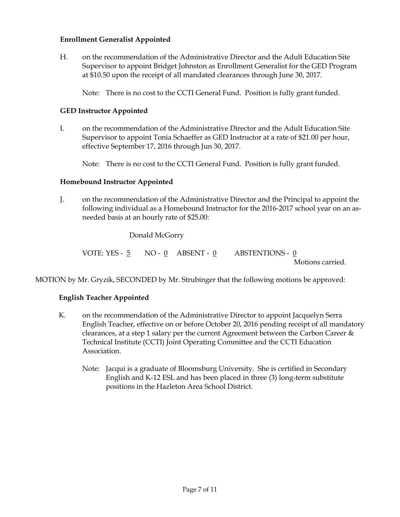## **Enrollment Generalist Appointed**

H. on the recommendation of the Administrative Director and the Adult Education Site Supervisor to appoint Bridget Johnston as Enrollment Generalist for the GED Program at \$10.50 upon the receipt of all mandated clearances through June 30, 2017.

Note: There is no cost to the CCTI General Fund. Position is fully grant funded.

## **GED Instructor Appointed**

I. on the recommendation of the Administrative Director and the Adult Education Site Supervisor to appoint Tonia Schaeffer as GED Instructor at a rate of \$21.00 per hour, effective September 17, 2016 through Jun 30, 2017.

Note: There is no cost to the CCTI General Fund. Position is fully grant funded.

## **Homebound Instructor Appointed**

J. on the recommendation of the Administrative Director and the Principal to appoint the following individual as a Homebound Instructor for the 2016-2017 school year on an asneeded basis at an hourly rate of \$25.00:

## Donald McGorry

VOTE: YES -  $5$  NO -  $0$  ABSENT -  $0$  ABSTENTIONS -  $0$ Motions carried.

MOTION by Mr. Gryzik, SECONDED by Mr. Strubinger that the following motions be approved:

## **English Teacher Appointed**

- K. on the recommendation of the Administrative Director to appoint Jacquelyn Serra English Teacher, effective on or before October 20, 2016 pending receipt of all mandatory clearances, at a step 1 salary per the current Agreement between the Carbon Career  $\&$ Technical Institute (CCTI) Joint Operating Committee and the CCTI Education Association.
	- Note: Jacqui is a graduate of Bloomsburg University. She is certified in Secondary English and K-12 ESL and has been placed in three (3) long-term substitute positions in the Hazleton Area School District.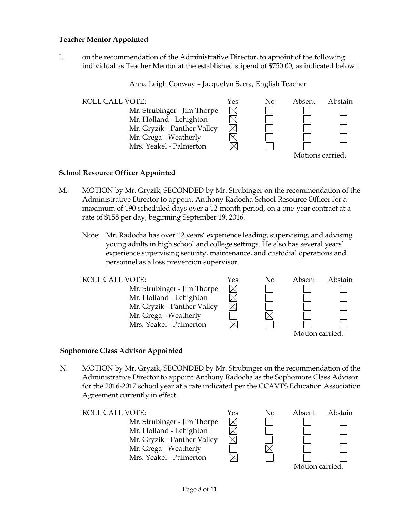## **Teacher Mentor Appointed**

L. on the recommendation of the Administrative Director, to appoint of the following individual as Teacher Mentor at the established stipend of \$750.00, as indicated below:

Anna Leigh Conway – Jacquelyn Serra, English Teacher



#### **School Resource Officer Appointed**

- M. MOTION by Mr. Gryzik, SECONDED by Mr. Strubinger on the recommendation of the Administrative Director to appoint Anthony Radocha School Resource Officer for a maximum of 190 scheduled days over a 12-month period, on a one-year contract at a rate of \$158 per day, beginning September 19, 2016.
	- Note: Mr. Radocha has over 12 years' experience leading, supervising, and advising young adults in high school and college settings. He also has several years' experience supervising security, maintenance, and custodial operations and personnel as a loss prevention supervisor.



#### **Sophomore Class Advisor Appointed**

N. MOTION by Mr. Gryzik, SECONDED by Mr. Strubinger on the recommendation of the Administrative Director to appoint Anthony Radocha as the Sophomore Class Advisor for the 2016-2017 school year at a rate indicated per the CCAVTS Education Association Agreement currently in effect.

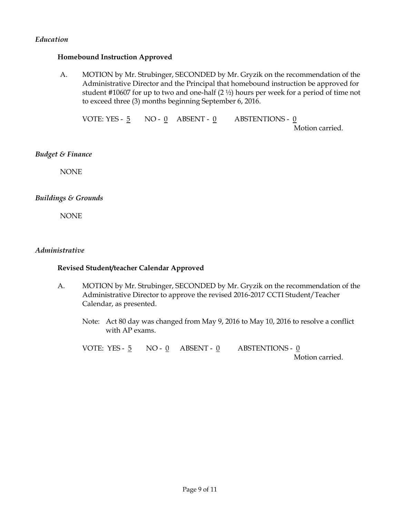## *Education*

#### **Homebound Instruction Approved**

A. MOTION by Mr. Strubinger, SECONDED by Mr. Gryzik on the recommendation of the Administrative Director and the Principal that homebound instruction be approved for student #10607 for up to two and one-half  $(2 \frac{1}{2})$  hours per week for a period of time not to exceed three (3) months beginning September 6, 2016.

VOTE: YES - 5 NO - 0 ABSENT - 0 ABSTENTIONS - 0

Motion carried.

#### *Budget & Finance*

NONE

## *Buildings & Grounds*

NONE

#### *Administrative*

#### **Revised Student/teacher Calendar Approved**

- A. MOTION by Mr. Strubinger, SECONDED by Mr. Gryzik on the recommendation of the Administrative Director to approve the revised 2016-2017 CCTI Student/Teacher Calendar, as presented.
	- Note: Act 80 day was changed from May 9, 2016 to May 10, 2016 to resolve a conflict with AP exams.

VOTE: YES - 5 NO - 0 ABSENT - 0 ABSTENTIONS - 0

Motion carried.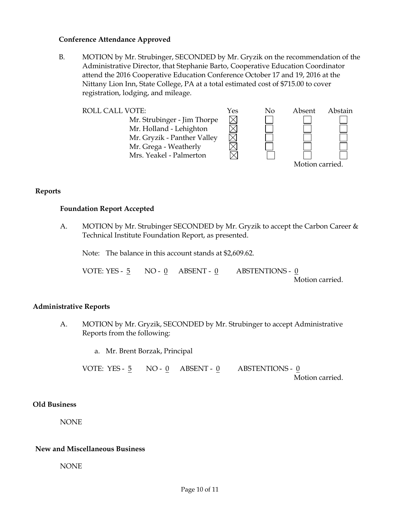#### **Conference Attendance Approved**

B. MOTION by Mr. Strubinger, SECONDED by Mr. Gryzik on the recommendation of the Administrative Director, that Stephanie Barto, Cooperative Education Coordinator attend the 2016 Cooperative Education Conference October 17 and 19, 2016 at the Nittany Lion Inn, State College, PA at a total estimated cost of \$715.00 to cover registration, lodging, and mileage.



**Reports**

#### **Foundation Report Accepted**

A. MOTION by Mr. Strubinger SECONDED by Mr. Gryzik to accept the Carbon Career & Technical Institute Foundation Report, as presented.

Note: The balance in this account stands at \$2,609.62.

VOTE: YES - 5 NO - 0 ABSENT - 0 ABSTENTIONS - 0 Motion carried.

## **Administrative Reports**

A. MOTION by Mr. Gryzik, SECONDED by Mr. Strubinger to accept Administrative Reports from the following:

a. Mr. Brent Borzak, Principal

VOTE: YES -  $\frac{5}{9}$  NO -  $\frac{0}{9}$  ABSENT -  $\frac{0}{9}$  ABSTENTIONS -  $\frac{0}{9}$ Motion carried.

#### **Old Business**

NONE

## **New and Miscellaneous Business**

NONE